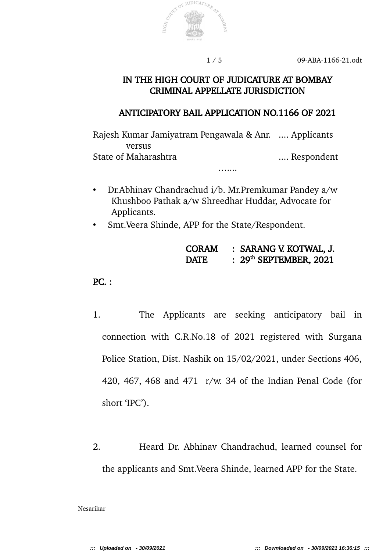

## IN THE HIGH COURT OF JUDICATURE AT BOMBAY CRIMINAL APPELLATE JURISDICTION

## ANTICIPATORY BAIL APPLICATION NO.1166 OF 2021

…....

Rajesh Kumar Jamiyatram Pengawala & Anr. .... Applicants versus State of Maharashtra .... Respondent

- Dr.Abhinav Chandrachud i/b. Mr.Premkumar Pandey a/w Khushboo Pathak a/w Shreedhar Huddar, Advocate for Applicants.
- Smt.Veera Shinde, APP for the State/Respondent.

| <b>CORAM</b> | : SARANG V. KOTWAL, J.   |
|--------------|--------------------------|
| <b>DATE</b>  | $: 29th$ SEPTEMBER, 2021 |

 $PC.$ :

- 1. The Applicants are seeking anticipatory bail in connection with C.R.No.18 of 2021 registered with Surgana Police Station, Dist. Nashik on 15/02/2021, under Sections 406, 420, 467, 468 and 471 r/w. 34 of the Indian Penal Code (for short 'IPC').
- 2. Heard Dr. Abhinav Chandrachud, learned counsel for the applicants and Smt.Veera Shinde, learned APP for the State.

Nesarikar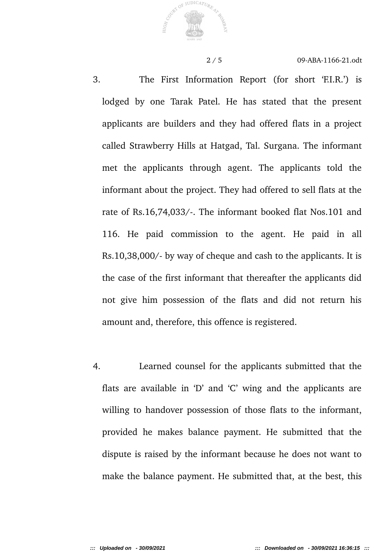

3. The First Information Report (for short 'F.I.R.') is lodged by one Tarak Patel. He has stated that the present applicants are builders and they had offered flats in a project called Strawberry Hills at Hatgad, Tal. Surgana. The informant met the applicants through agent. The applicants told the informant about the project. They had offered to sell flats at the rate of Rs.16,74,033/-. The informant booked flat Nos.101 and 116. He paid commission to the agent. He paid in all Rs.10,38,000/- by way of cheque and cash to the applicants. It is the case of the first informant that thereafter the applicants did not give him possession of the flats and did not return his amount and, therefore, this offence is registered.

4. Learned counsel for the applicants submitted that the flats are available in 'D' and 'C' wing and the applicants are willing to handover possession of those flats to the informant, provided he makes balance payment. He submitted that the dispute is raised by the informant because he does not want to make the balance payment. He submitted that, at the best, this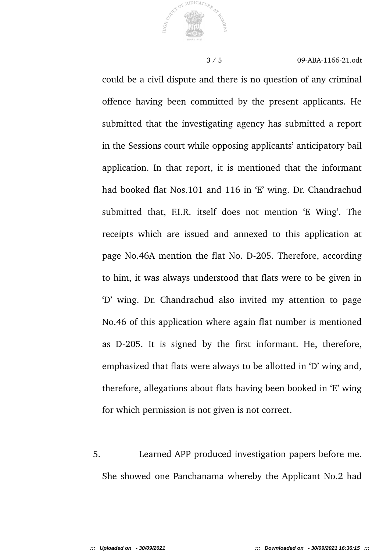could be a civil dispute and there is no question of any criminal offence having been committed by the present applicants. He submitted that the investigating agency has submitted a report in the Sessions court while opposing applicants' anticipatory bail application. In that report, it is mentioned that the informant had booked flat Nos.101 and 116 in 'E' wing. Dr. Chandrachud submitted that, F.I.R. itself does not mention 'E Wing'. The receipts which are issued and annexed to this application at page No.46A mention the flat No. D-205. Therefore, according to him, it was always understood that flats were to be given in 'D' wing. Dr. Chandrachud also invited my attention to page No.46 of this application where again flat number is mentioned as D-205. It is signed by the first informant. He, therefore, emphasized that flats were always to be allotted in 'D' wing and, therefore, allegations about flats having been booked in 'E' wing for which permission is not given is not correct.

OF JUDICATURE

5. Learned APP produced investigation papers before me. She showed one Panchanama whereby the Applicant No.2 had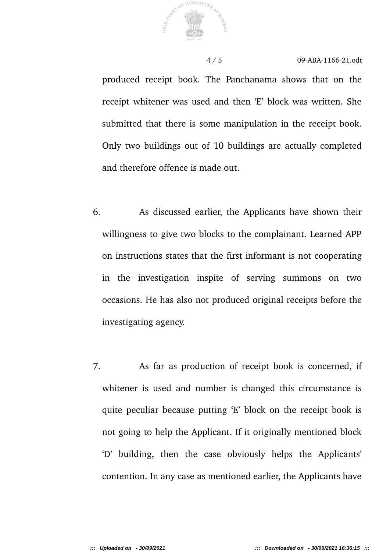

produced receipt book. The Panchanama shows that on the receipt whitener was used and then 'E' block was written. She submitted that there is some manipulation in the receipt book. Only two buildings out of 10 buildings are actually completed and therefore offence is made out.

- 6. As discussed earlier, the Applicants have shown their willingness to give two blocks to the complainant. Learned APP on instructions states that the first informant is not cooperating in the investigation inspite of serving summons on two occasions. He has also not produced original receipts before the investigating agency.
- 7. As far as production of receipt book is concerned, if whitener is used and number is changed this circumstance is quite peculiar because putting 'E' block on the receipt book is not going to help the Applicant. If it originally mentioned block 'D' building, then the case obviously helps the Applicants' contention. In any case as mentioned earlier, the Applicants have